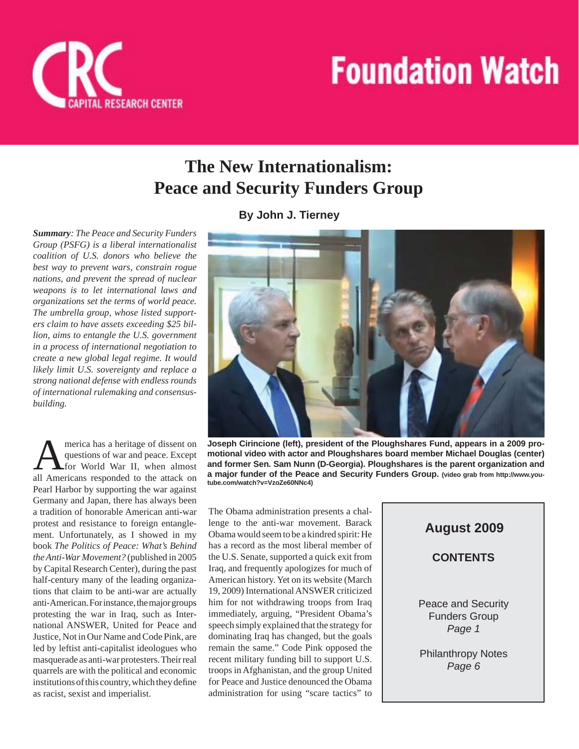



*Summary: The Peace and Security Funders Group (PSFG) is a liberal internationalist coalition of U.S. donors who believe the best way to prevent wars, constrain rogue nations, and prevent the spread of nuclear weapons is to let international laws and organizations set the terms of world peace. The umbrella group, whose listed supporters claim to have assets exceeding \$25 billion, aims to entangle the U.S. government in a process of international negotiation to create a new global legal regime. It would likely limit U.S. sovereignty and replace a strong national defense with endless rounds of international rulemaking and consensusbuilding.*

**ITAL RESEARCH CENTER** 

**AMERICA ALTERATE A** questions of war and peace. Except for World War II, when almost all Americans responded to the attack on merica has a heritage of dissent on questions of war and peace. Except for World War II, when almost Pearl Harbor by supporting the war against Germany and Japan, there has always been a tradition of honorable American anti-war protest and resistance to foreign entanglement. Unfortunately, as I showed in my book *The Politics of Peace: What's Behind the Anti-War Movement?* (published in 2005 by Capital Research Center), during the past half-century many of the leading organizations that claim to be anti-war are actually anti-American. For instance, the major groups protesting the war in Iraq, such as International ANSWER, United for Peace and Justice, Not in Our Name and Code Pink, are led by leftist anti-capitalist ideologues who masquerade as anti-war protesters. Their real quarrels are with the political and economic institutions of this country, which they define as racist, sexist and imperialist.

**By John J. Tierney**



**Joseph Cirincione (left), president of the Ploughshares Fund, appears in a 2009 promotional video with actor and Ploughshares board member Michael Douglas (center) and former Sen. Sam Nunn (D-Georgia). Ploughshares is the parent organization and a major funder of the Peace and Security Funders Group. (video grab from http://www.youtube.com/watch?v=VzoZe60NNc4)**

The Obama administration presents a challenge to the anti-war movement. Barack Obama would seem to be a kindred spirit: He has a record as the most liberal member of the U.S. Senate, supported a quick exit from Iraq, and frequently apologizes for much of American history. Yet on its website (March 19, 2009) International ANSWER criticized him for not withdrawing troops from Iraq immediately, arguing, "President Obama's speech simply explained that the strategy for dominating Iraq has changed, but the goals remain the same." Code Pink opposed the recent military funding bill to support U.S. troops in Afghanistan, and the group United for Peace and Justice denounced the Obama administration for using "scare tactics" to

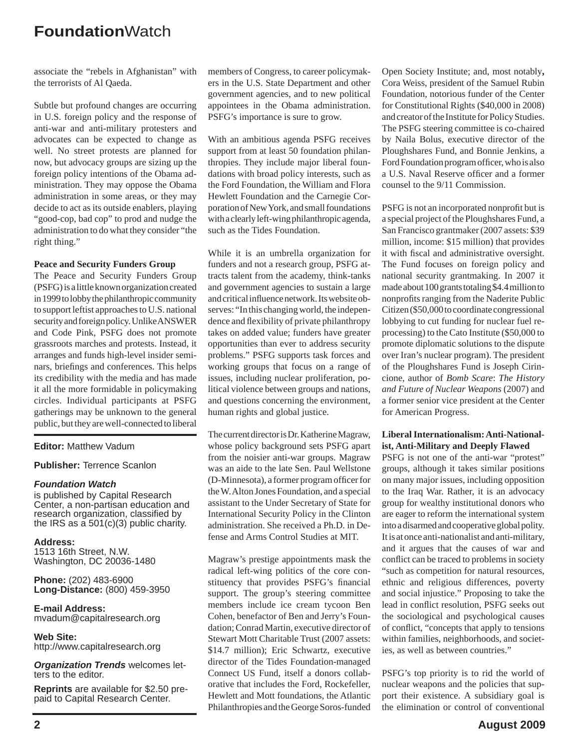associate the "rebels in Afghanistan" with the terrorists of Al Qaeda.

Subtle but profound changes are occurring in U.S. foreign policy and the response of anti-war and anti-military protesters and advocates can be expected to change as well. No street protests are planned for now, but advocacy groups are sizing up the foreign policy intentions of the Obama administration. They may oppose the Obama administration in some areas, or they may decide to act as its outside enablers, playing "good-cop, bad cop" to prod and nudge the administration to do what they consider "the right thing."

#### **Peace and Security Funders Group**

The Peace and Security Funders Group (PSFG) is a little known organization created in 1999 to lobby the philanthropic community to support leftist approaches to U.S. national security and foreign policy. Unlike ANSWER and Code Pink, PSFG does not promote grassroots marches and protests. Instead, it arranges and funds high-level insider seminars, briefings and conferences. This helps its credibility with the media and has made it all the more formidable in policymaking circles. Individual participants at PSFG gatherings may be unknown to the general public, but they are well-connected to liberal

#### **Editor:** Matthew Vadum

#### **Publisher:** Terrence Scanlon

#### *Foundation Watch*

is published by Capital Research Center, a non-partisan education and research organization, classified by the IRS as a  $501(c)(3)$  public charity.

**Address:** 1513 16th Street, N.W. Washington, DC 20036-1480

**Phone:** (202) 483-6900 **Long-Distance:** (800) 459-3950

**E-mail Address:** mvadum@capitalresearch.org

**Web Site:** http://www.capitalresearch.org

*Organization Trends* welcomes letters to the editor.

**Reprints** are available for \$2.50 prepaid to Capital Research Center.

members of Congress, to career policymakers in the U.S. State Department and other government agencies, and to new political appointees in the Obama administration. PSFG's importance is sure to grow.

With an ambitious agenda PSFG receives support from at least 50 foundation philanthropies. They include major liberal foundations with broad policy interests, such as the Ford Foundation, the William and Flora Hewlett Foundation and the Carnegie Corporation of New York, and small foundations with a clearly left-wing philanthropic agenda, such as the Tides Foundation.

While it is an umbrella organization for funders and not a research group, PSFG attracts talent from the academy, think-tanks and government agencies to sustain a large and critical influence network. Its website observes: "In this changing world, the independence and flexibility of private philanthropy takes on added value; funders have greater opportunities than ever to address security problems." PSFG supports task forces and working groups that focus on a range of issues, including nuclear proliferation, political violence between groups and nations, and questions concerning the environment, human rights and global justice.

The current director is Dr. Katherine Magraw, whose policy background sets PSFG apart from the noisier anti-war groups. Magraw was an aide to the late Sen. Paul Wellstone (D-Minnesota), a former program officer for the W. Alton Jones Foundation, and a special assistant to the Under Secretary of State for International Security Policy in the Clinton administration. She received a Ph.D. in Defense and Arms Control Studies at MIT.

Magraw's prestige appointments mask the radical left-wing politics of the core constituency that provides PSFG's financial support. The group's steering committee members include ice cream tycoon Ben Cohen, benefactor of Ben and Jerry's Foundation; Conrad Martin, executive director of Stewart Mott Charitable Trust (2007 assets: \$14.7 million); Eric Schwartz, executive director of the Tides Foundation-managed Connect US Fund, itself a donors collaborative that includes the Ford, Rockefeller, Hewlett and Mott foundations, the Atlantic Philanthropies and the George Soros-funded

Open Society Institute; and, most notably**,** Cora Weiss, president of the Samuel Rubin Foundation, notorious funder of the Center for Constitutional Rights (\$40,000 in 2008) and creator of the Institute for Policy Studies. The PSFG steering committee is co-chaired by Naila Bolus, executive director of the Ploughshares Fund, and Bonnie Jenkins, a Ford Foundation program officer, who is also a U.S. Naval Reserve officer and a former counsel to the 9/11 Commission.

PSFG is not an incorporated nonprofit but is a special project of the Ploughshares Fund, a San Francisco grantmaker (2007 assets: \$39 million, income: \$15 million) that provides it with fiscal and administrative oversight. The Fund focuses on foreign policy and national security grantmaking. In 2007 it made about 100 grants totaling \$4.4 million to nonprofits ranging from the Naderite Public Citizen (\$50,000 to coordinate congressional lobbying to cut funding for nuclear fuel reprocessing) to the Cato Institute (\$50,000 to promote diplomatic solutions to the dispute over Iran's nuclear program). The president of the Ploughshares Fund is Joseph Cirincione, author of *Bomb Scare*: *The History and Future of Nuclear Weapons* (2007) and a former senior vice president at the Center for American Progress.

#### **Liberal Internationalism: Anti-Nationalist, Anti-Military and Deeply Flawed**

PSFG is not one of the anti-war "protest" groups, although it takes similar positions on many major issues, including opposition to the Iraq War. Rather, it is an advocacy group for wealthy institutional donors who are eager to reform the international system into a disarmed and cooperative global polity. It is at once anti-nationalist and anti-military, and it argues that the causes of war and conflict can be traced to problems in society "such as competition for natural resources, ethnic and religious differences, poverty and social injustice." Proposing to take the lead in conflict resolution, PSFG seeks out the sociological and psychological causes of conflict, "concepts that apply to tensions within families, neighborhoods, and societies, as well as between countries."

PSFG's top priority is to rid the world of nuclear weapons and the policies that support their existence. A subsidiary goal is the elimination or control of conventional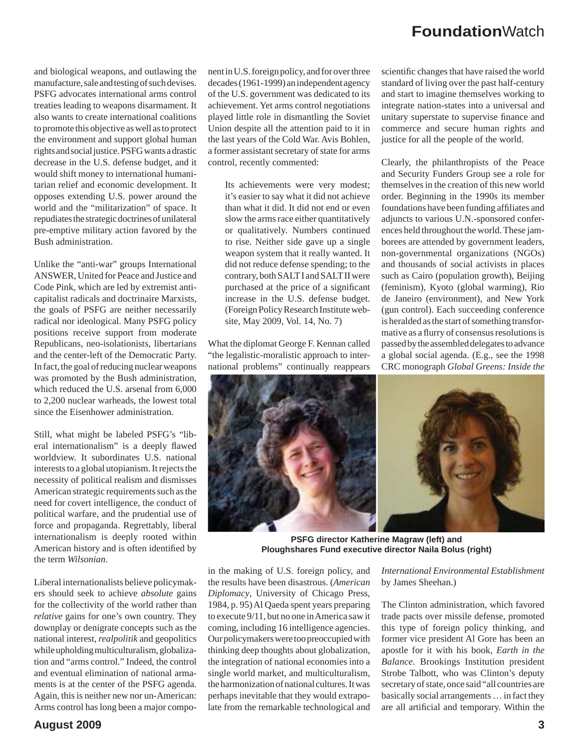and biological weapons, and outlawing the manufacture, sale and testing of such devises. PSFG advocates international arms control treaties leading to weapons disarmament. It also wants to create international coalitions to promote this objective as well as to protect the environment and support global human rights and social justice. PSFG wants a drastic decrease in the U.S. defense budget, and it would shift money to international humanitarian relief and economic development. It opposes extending U.S. power around the world and the "militarization" of space. It repudiates the strategic doctrines of unilateral pre-emptive military action favored by the Bush administration.

Unlike the "anti-war" groups International ANSWER, United for Peace and Justice and Code Pink, which are led by extremist anticapitalist radicals and doctrinaire Marxists, the goals of PSFG are neither necessarily radical nor ideological. Many PSFG policy positions receive support from moderate Republicans, neo-isolationists, libertarians and the center-left of the Democratic Party. In fact, the goal of reducing nuclear weapons was promoted by the Bush administration, which reduced the U.S. arsenal from 6,000 to 2,200 nuclear warheads, the lowest total since the Eisenhower administration.

Still, what might be labeled PSFG's "liberal internationalism" is a deeply flawed worldview. It subordinates U.S. national interests to a global utopianism. It rejects the necessity of political realism and dismisses American strategic requirements such as the need for covert intelligence, the conduct of political warfare, and the prudential use of force and propaganda. Regrettably, liberal internationalism is deeply rooted within American history and is often identified by the term *Wilsonian*.

Liberal internationalists believe policymakers should seek to achieve *absolute* gains for the collectivity of the world rather than *relative* gains for one's own country. They downplay or denigrate concepts such as the national interest, *realpolitik* and geopolitics while upholding multiculturalism, globalization and "arms control." Indeed, the control and eventual elimination of national armaments is at the center of the PSFG agenda. Again, this is neither new nor un-American: Arms control has long been a major compo-

nent in U.S. foreign policy, and for over three decades (1961-1999) an independent agency of the U.S. government was dedicated to its achievement. Yet arms control negotiations played little role in dismantling the Soviet Union despite all the attention paid to it in the last years of the Cold War. Avis Bohlen, a former assistant secretary of state for arms control, recently commented:

Its achievements were very modest; it's easier to say what it did not achieve than what it did. It did not end or even slow the arms race either quantitatively or qualitatively. Numbers continued to rise. Neither side gave up a single weapon system that it really wanted. It did not reduce defense spending; to the contrary, both SALT I and SALT II were purchased at the price of a significant increase in the U.S. defense budget. (Foreign Policy Research Institute website, May 2009, Vol. 14, No. 7)

What the diplomat George F. Kennan called "the legalistic-moralistic approach to international problems" continually reappears

scientific changes that have raised the world standard of living over the past half-century and start to imagine themselves working to integrate nation-states into a universal and unitary superstate to supervise finance and commerce and secure human rights and justice for all the people of the world.

Clearly, the philanthropists of the Peace and Security Funders Group see a role for themselves in the creation of this new world order. Beginning in the 1990s its member foundations have been funding affiliates and adjuncts to various U.N.-sponsored conferences held throughout the world. These jamborees are attended by government leaders, non-governmental organizations (NGOs) and thousands of social activists in places such as Cairo (population growth), Beijing (feminism), Kyoto (global warming), Rio de Janeiro (environment), and New York (gun control). Each succeeding conference is heralded as the start of something transformative as a flurry of consensus resolutions is passed by the assembled delegates to advance a global social agenda. (E.g., see the 1998 CRC monograph *Global Greens: Inside the* 



**PSFG director Katherine Magraw (left) and Ploughshares Fund executive director Naila Bolus (right)**

in the making of U.S. foreign policy, and the results have been disastrous. (*American Diplomacy*, University of Chicago Press, 1984, p. 95) Al Qaeda spent years preparing to execute 9/11, but no one in America saw it coming, including 16 intelligence agencies. Our policymakers were too preoccupied with thinking deep thoughts about globalization, the integration of national economies into a single world market, and multiculturalism, the harmonization of national cultures. It was perhaps inevitable that they would extrapolate from the remarkable technological and

*International Environmental Establishment*  by James Sheehan.)

The Clinton administration, which favored trade pacts over missile defense, promoted this type of foreign policy thinking, and former vice president Al Gore has been an apostle for it with his book, *Earth in the Balance*. Brookings Institution president Strobe Talbott, who was Clinton's deputy secretary of state, once said "all countries are basically social arrangements … in fact they are all artificial and temporary. Within the

**August 2009 3**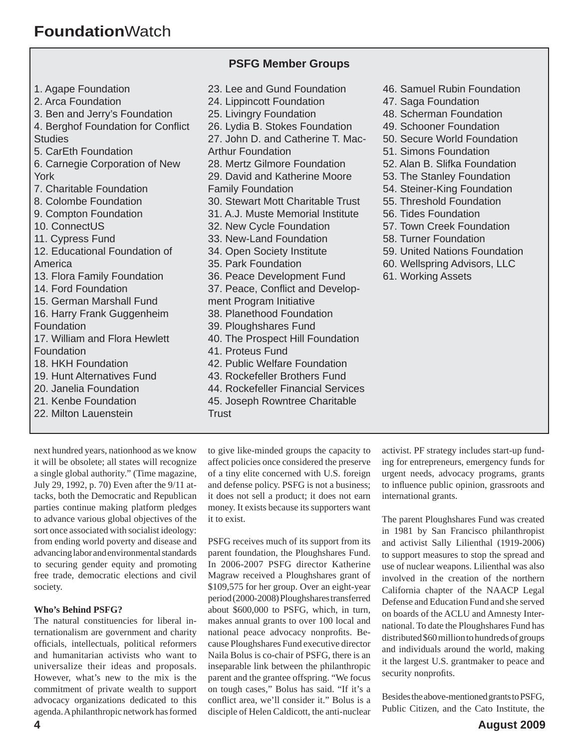#### **PSFG Member Groups**

- 1. Agape Foundation 2. Arca Foundation 3. Ben and Jerry's Foundation 4. Berghof Foundation for Conflict **Studies** 5. CarEth Foundation 6. Carnegie Corporation of New York 7. Charitable Foundation 8. Colombe Foundation 9. Compton Foundation 10. ConnectUS 11. Cypress Fund 12. Educational Foundation of America 13. Flora Family Foundation 14. Ford Foundation 15. German Marshall Fund 16. Harry Frank Guggenheim Foundation 17. William and Flora Hewlett **Foundation** 18. HKH Foundation 19. Hunt Alternatives Fund 20. Janelia Foundation 21. Kenbe Foundation 22. Milton Lauenstein
- 23. Lee and Gund Foundation 24. Lippincott Foundation 25. Livingry Foundation 26. Lydia B. Stokes Foundation 27. John D. and Catherine T. Mac-Arthur Foundation 28. Mertz Gilmore Foundation 29. David and Katherine Moore Family Foundation 30. Stewart Mott Charitable Trust 31. A.J. Muste Memorial Institute 32. New Cycle Foundation 33. New-Land Foundation 34. Open Society Institute 35. Park Foundation 36. Peace Development Fund 37. Peace, Conflict and Development Program Initiative 38. Planethood Foundation 39. Ploughshares Fund 40. The Prospect Hill Foundation 41. Proteus Fund 42. Public Welfare Foundation 43. Rockefeller Brothers Fund 44. Rockefeller Financial Services 45. Joseph Rowntree Charitable **Trust**
- next hundred years, nationhood as we know it will be obsolete; all states will recognize a single global authority." (Time magazine, July 29, 1992, p. 70) Even after the 9/11 attacks, both the Democratic and Republican parties continue making platform pledges to advance various global objectives of the sort once associated with socialist ideology: from ending world poverty and disease and advancing labor and environmental standards to securing gender equity and promoting free trade, democratic elections and civil

#### **Who's Behind PSFG?**

society.

The natural constituencies for liberal internationalism are government and charity officials, intellectuals, political reformers and humanitarian activists who want to universalize their ideas and proposals. However, what's new to the mix is the commitment of private wealth to support advocacy organizations dedicated to this agenda. A philanthropic network has formed to give like-minded groups the capacity to affect policies once considered the preserve of a tiny elite concerned with U.S. foreign and defense policy. PSFG is not a business; it does not sell a product; it does not earn money. It exists because its supporters want it to exist.

PSFG receives much of its support from its parent foundation, the Ploughshares Fund. In 2006-2007 PSFG director Katherine Magraw received a Ploughshares grant of \$109,575 for her group. Over an eight-year period (2000-2008) Ploughshares transferred about \$600,000 to PSFG, which, in turn, makes annual grants to over 100 local and national peace advocacy nonprofits. Because Ploughshares Fund executive director Naila Bolus is co-chair of PSFG, there is an inseparable link between the philanthropic parent and the grantee offspring. "We focus on tough cases," Bolus has said. "If it's a conflict area, we'll consider it." Bolus is a disciple of Helen Caldicott, the anti-nuclear 46. Samuel Rubin Foundation

- 47. Saga Foundation
- 48. Scherman Foundation
- 49. Schooner Foundation
- 50. Secure World Foundation
- 51. Simons Foundation
- 52. Alan B. Slifka Foundation
- 53. The Stanley Foundation
- 54. Steiner-King Foundation
- 55. Threshold Foundation
- 56. Tides Foundation
- 57. Town Creek Foundation
- 58. Turner Foundation
- 59. United Nations Foundation
- 60. Wellspring Advisors, LLC
- 61. Working Assets

activist. PF strategy includes start-up funding for entrepreneurs, emergency funds for urgent needs, advocacy programs, grants to influence public opinion, grassroots and international grants.

The parent Ploughshares Fund was created in 1981 by San Francisco philanthropist and activist Sally Lilienthal (1919-2006) to support measures to stop the spread and use of nuclear weapons. Lilienthal was also involved in the creation of the northern California chapter of the NAACP Legal Defense and Education Fund and she served on boards of the ACLU and Amnesty International. To date the Ploughshares Fund has distributed \$60 million to hundreds of groups and individuals around the world, making it the largest U.S. grantmaker to peace and security nonprofits.

Besides the above-mentioned grants to PSFG, Public Citizen, and the Cato Institute, the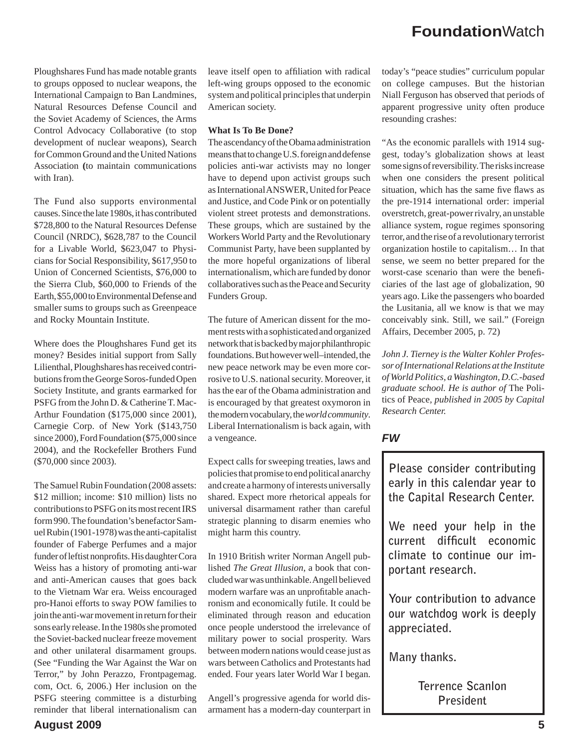Ploughshares Fund has made notable grants to groups opposed to nuclear weapons, the International Campaign to Ban Landmines, Natural Resources Defense Council and the Soviet Academy of Sciences, the Arms Control Advocacy Collaborative (to stop development of nuclear weapons), Search for Common Ground and the United Nations Association **(**to maintain communications with Iran).

The Fund also supports environmental causes. Since the late 1980s, it has contributed \$728,800 to the Natural Resources Defense Council (NRDC), \$628,787 to the Council for a Livable World, \$623,047 to Physicians for Social Responsibility, \$617,950 to Union of Concerned Scientists, \$76,000 to the Sierra Club, \$60,000 to Friends of the Earth, \$55,000 to Environmental Defense and smaller sums to groups such as Greenpeace and Rocky Mountain Institute.

Where does the Ploughshares Fund get its money? Besides initial support from Sally Lilienthal, Ploughshares has received contributions from the George Soros-funded Open Society Institute, and grants earmarked for PSFG from the John D. & Catherine T. Mac-Arthur Foundation (\$175,000 since 2001), Carnegie Corp. of New York (\$143,750 since 2000), Ford Foundation (\$75,000 since 2004), and the Rockefeller Brothers Fund (\$70,000 since 2003).

The Samuel Rubin Foundation (2008 assets: \$12 million; income: \$10 million) lists no contributions to PSFG on its most recent IRS form 990.The foundation's benefactor Samuel Rubin (1901-1978) was the anti-capitalist founder of Faberge Perfumes and a major funder of leftist nonprofits. His daughter Cora Weiss has a history of promoting anti-war and anti-American causes that goes back to the Vietnam War era. Weiss encouraged pro-Hanoi efforts to sway POW families to join the anti-war movement in return for their sons early release. In the 1980s she promoted the Soviet-backed nuclear freeze movement and other unilateral disarmament groups. (See "Funding the War Against the War on Terror," by John Perazzo*,* Frontpagemag. com, Oct. 6, 2006.) Her inclusion on the PSFG steering committee is a disturbing reminder that liberal internationalism can leave itself open to affiliation with radical left-wing groups opposed to the economic system and political principles that underpin American society.

#### **What Is To Be Done?**

The ascendancy of the Obama administration means that to change U.S. foreign and defense policies anti-war activists may no longer have to depend upon activist groups such as International ANSWER, United for Peace and Justice, and Code Pink or on potentially violent street protests and demonstrations. These groups, which are sustained by the Workers World Party and the Revolutionary Communist Party, have been supplanted by the more hopeful organizations of liberal internationalism, which are funded by donor collaboratives such as the Peace and Security Funders Group.

The future of American dissent for the moment rests with a sophisticated and organized network that is backed by major philanthropic foundations. But however well–intended, the new peace network may be even more corrosive to U.S. national security. Moreover, it has the ear of the Obama administration and is encouraged by that greatest oxymoron in the modern vocabulary, the *world community*. Liberal Internationalism is back again, with a vengeance.

Expect calls for sweeping treaties, laws and policies that promise to end political anarchy and create a harmony of interests universally shared. Expect more rhetorical appeals for universal disarmament rather than careful strategic planning to disarm enemies who might harm this country.

In 1910 British writer Norman Angell published *The Great Illusion*, a book that concluded war was unthinkable. Angell believed modern warfare was an unprofitable anachronism and economically futile. It could be eliminated through reason and education once people understood the irrelevance of military power to social prosperity. Wars between modern nations would cease just as wars between Catholics and Protestants had ended. Four years later World War I began.

Angell's progressive agenda for world disarmament has a modern-day counterpart in today's "peace studies" curriculum popular on college campuses. But the historian Niall Ferguson has observed that periods of apparent progressive unity often produce resounding crashes:

"As the economic parallels with 1914 suggest, today's globalization shows at least some signs of reversibility. The risks increase when one considers the present political situation, which has the same five flaws as the pre-1914 international order: imperial overstretch, great-power rivalry, an unstable alliance system, rogue regimes sponsoring terror, and the rise of a revolutionary terrorist organization hostile to capitalism… In that sense, we seem no better prepared for the worst-case scenario than were the beneficiaries of the last age of globalization, 90 years ago. Like the passengers who boarded the Lusitania, all we know is that we may conceivably sink. Still, we sail." (Foreign Affairs, December 2005, p. 72)

*John J. Tierney is the Walter Kohler Professor of International Relations at the Institute of World Politics, a Washington, D.C.-based graduate school. He is author of* The Politics of Peace*, published in 2005 by Capital Research Center.*

#### *FW*

**Please consider contributing early in this calendar year to the Capital Research Center.**

**We need your help in the**  current difficult economic **climate to continue our important research.** 

**Your contribution to advance our watchdog work is deeply appreciated.** 

**Many thanks.** 

**Terrence Scanlon President**